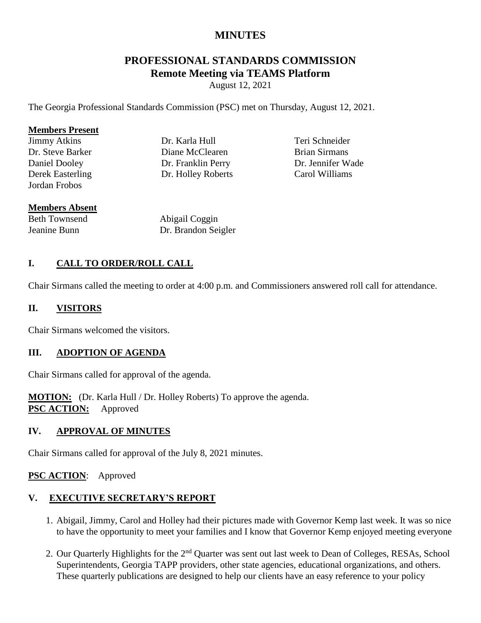# **MINUTES**

# **PROFESSIONAL STANDARDS COMMISSION Remote Meeting via TEAMS Platform**

August 12, 2021

The Georgia Professional Standards Commission (PSC) met on Thursday, August 12, 2021.

#### **Members Present**

Jimmy Atkins Dr. Steve Barker Daniel Dooley Derek Easterling Jordan Frobos

Dr. Karla Hull Diane McClearen Dr. Franklin Perry Dr. Holley Roberts

Teri Schneider Brian Sirmans Dr. Jennifer Wade Carol Williams

### **Members Absent**

Beth Townsend Jeanine Bunn

Abigail Coggin Dr. Brandon Seigler

### **I. CALL TO ORDER/ROLL CALL**

Chair Sirmans called the meeting to order at 4:00 p.m. and Commissioners answered roll call for attendance.

#### **II. VISITORS**

Chair Sirmans welcomed the visitors.

### **III. ADOPTION OF AGENDA**

Chair Sirmans called for approval of the agenda.

**MOTION:** (Dr. Karla Hull / Dr. Holley Roberts) To approve the agenda. **PSC ACTION:** Approved

#### **IV. APPROVAL OF MINUTES**

Chair Sirmans called for approval of the July 8, 2021 minutes.

#### **PSC ACTION**: Approved

## **V. EXECUTIVE SECRETARY'S REPORT**

- 1. Abigail, Jimmy, Carol and Holley had their pictures made with Governor Kemp last week. It was so nice to have the opportunity to meet your families and I know that Governor Kemp enjoyed meeting everyone
- 2. Our Quarterly Highlights for the 2<sup>nd</sup> Quarter was sent out last week to Dean of Colleges, RESAs, School Superintendents, Georgia TAPP providers, other state agencies, educational organizations, and others. These quarterly publications are designed to help our clients have an easy reference to your policy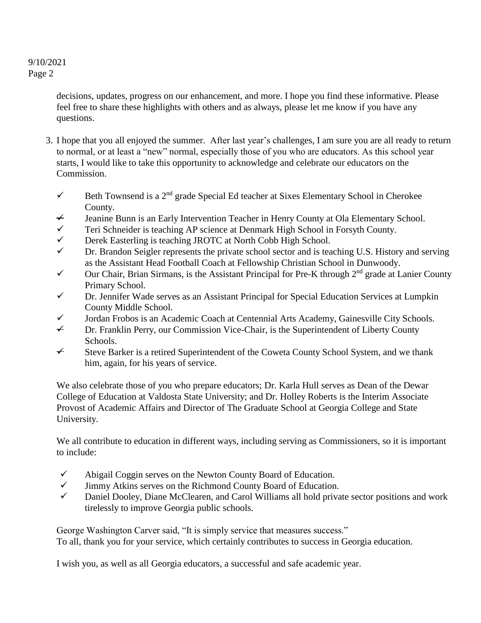> decisions, updates, progress on our enhancement, and more. I hope you find these informative. Please feel free to share these highlights with others and as always, please let me know if you have any questions.

- 3. I hope that you all enjoyed the summer. After last year's challenges, I am sure you are all ready to return to normal, or at least a "new" normal, especially those of you who are educators. As this school year starts, I would like to take this opportunity to acknowledge and celebrate our educators on the Commission.
	- $\checkmark$  Beth Townsend is a 2<sup>nd</sup> grade Special Ed teacher at Sixes Elementary School in Cherokee County.
	- $\neq$  Jeanine Bunn is an Early Intervention Teacher in Henry County at Ola Elementary School.
	- $\checkmark$  Teri Schneider is teaching AP science at Denmark High School in Forsyth County.
	- Derek Easterling is teaching JROTC at North Cobb High School.
	- $\checkmark$  Dr. Brandon Seigler represents the private school sector and is teaching U.S. History and serving as the Assistant Head Football Coach at Fellowship Christian School in Dunwoody.
	- $\checkmark$  Our Chair, Brian Sirmans, is the Assistant Principal for Pre-K through 2<sup>nd</sup> grade at Lanier County Primary School.
	- Dr. Jennifer Wade serves as an Assistant Principal for Special Education Services at Lumpkin County Middle School.
	- $\checkmark$  Jordan Frobos is an Academic Coach at Centennial Arts Academy, Gainesville City Schools.
	- $\rightarrow$  Dr. Franklin Perry, our Commission Vice-Chair, is the Superintendent of Liberty County Schools.
	- $\div$  Steve Barker is a retired Superintendent of the Coweta County School System, and we thank him, again, for his years of service.

We also celebrate those of you who prepare educators; Dr. Karla Hull serves as Dean of the Dewar College of Education at Valdosta State University; and Dr. Holley Roberts is the Interim Associate Provost of Academic Affairs and Director of The Graduate School at Georgia College and State University.

We all contribute to education in different ways, including serving as Commissioners, so it is important to include:

- $\checkmark$  Abigail Coggin serves on the Newton County Board of Education.
- $\checkmark$  Jimmy Atkins serves on the Richmond County Board of Education.
- $\checkmark$  Daniel Dooley, Diane McClearen, and Carol Williams all hold private sector positions and work tirelessly to improve Georgia public schools.

George Washington Carver said, "It is simply service that measures success." To all, thank you for your service, which certainly contributes to success in Georgia education.

I wish you, as well as all Georgia educators, a successful and safe academic year.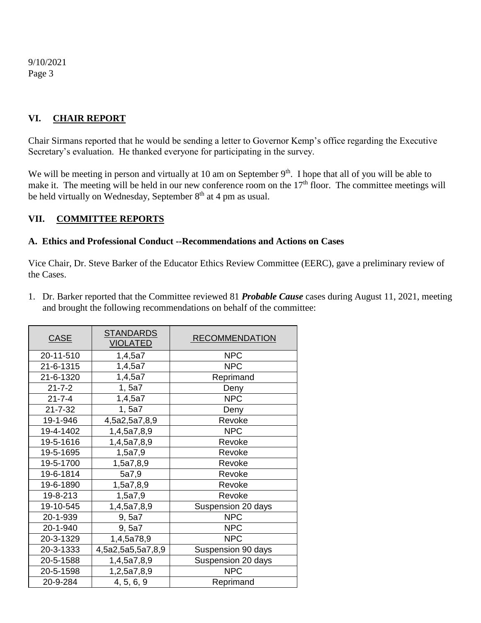## **VI. CHAIR REPORT**

Chair Sirmans reported that he would be sending a letter to Governor Kemp's office regarding the Executive Secretary's evaluation. He thanked everyone for participating in the survey.

We will be meeting in person and virtually at 10 am on September 9<sup>th</sup>. I hope that all of you will be able to make it. The meeting will be held in our new conference room on the 17<sup>th</sup> floor. The committee meetings will be held virtually on Wednesday, September  $8<sup>th</sup>$  at 4 pm as usual.

### **VII. COMMITTEE REPORTS**

#### **A. Ethics and Professional Conduct --Recommendations and Actions on Cases**

Vice Chair, Dr. Steve Barker of the Educator Ethics Review Committee (EERC), gave a preliminary review of the Cases.

1. Dr. Barker reported that the Committee reviewed 81 *Probable Cause* cases during August 11, 2021, meeting and brought the following recommendations on behalf of the committee:

| <b>CASE</b>   | <b>STANDARDS</b><br>VIOLATED | <b>RECOMMENDATION</b> |
|---------------|------------------------------|-----------------------|
| 20-11-510     | 1,4,5a7                      | <b>NPC</b>            |
| 21-6-1315     | 1,4,5a7                      | <b>NPC</b>            |
| 21-6-1320     | 1,4,5a7                      | Reprimand             |
| $21 - 7 - 2$  | 1, 5a7                       | Deny                  |
| $21 - 7 - 4$  | 1,4,5a7                      | <b>NPC</b>            |
| $21 - 7 - 32$ | 1, 5a7                       | Deny                  |
| 19-1-946      | 4,5a2,5a7,8,9                | Revoke                |
| 19-4-1402     | 1,4,5a7,8,9                  | <b>NPC</b>            |
| 19-5-1616     | 1,4,5a7,8,9                  | Revoke                |
| 19-5-1695     | 1,5a7,9                      | Revoke                |
| 19-5-1700     | 1,5a7,8,9                    | Revoke                |
| 19-6-1814     | 5a7,9                        | Revoke                |
| 19-6-1890     | 1,5a7,8,9                    | Revoke                |
| 19-8-213      | 1,5a7,9                      | Revoke                |
| 19-10-545     | 1,4,5a7,8,9                  | Suspension 20 days    |
| 20-1-939      | 9,5a7                        | <b>NPC</b>            |
| 20-1-940      | 9,5a7                        | <b>NPC</b>            |
| 20-3-1329     | 1,4,5a78,9                   | <b>NPC</b>            |
| 20-3-1333     | 4,5a2,5a5,5a7,8,9            | Suspension 90 days    |
| 20-5-1588     | 1,4,5a7,8,9                  | Suspension 20 days    |
| 20-5-1598     | 1,2,5a7,8,9                  | <b>NPC</b>            |
| 20-9-284      | 4, 5, 6, 9                   | Reprimand             |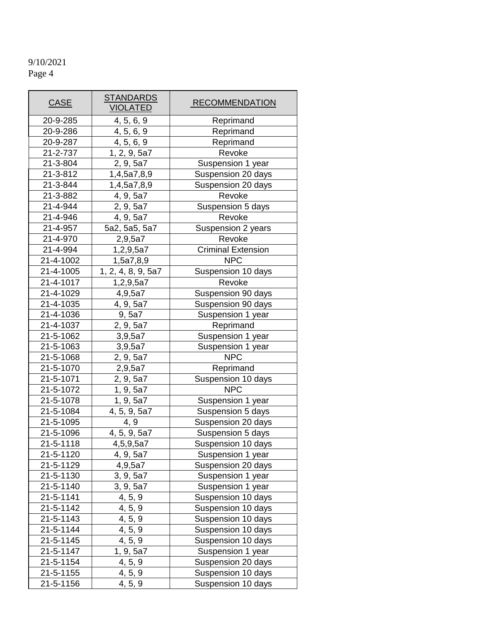| <b>CASE</b>          | <b>STANDARDS</b><br><b>VIOLATED</b> | <b>RECOMMENDATION</b>     |  |  |
|----------------------|-------------------------------------|---------------------------|--|--|
| 20-9-285             | 4, 5, 6, 9                          | Reprimand                 |  |  |
| 20-9-286             | 4, 5, 6, 9                          | Reprimand                 |  |  |
| 20-9-287             | 4, 5, 6, 9                          | Reprimand                 |  |  |
| 21-2-737             | 1, 2, 9, 5a7                        | Revoke                    |  |  |
| 21-3-804             | 2, 9, 5a7                           | Suspension 1 year         |  |  |
| 21-3-812             | 1,4,5a7,8,9                         | Suspension 20 days        |  |  |
| 21-3-844             | 1,4,5a7,8,9                         | Suspension 20 days        |  |  |
| 21-3-882             | 4, 9, 5a7                           | Revoke                    |  |  |
| 21-4-944             | 2, 9, 5a7                           | Suspension 5 days         |  |  |
| 21-4-946             | 4, 9, 5a7                           | Revoke                    |  |  |
| 21-4-957             | 5a2, 5a5, 5a7                       | Suspension 2 years        |  |  |
| 21-4-970             | 2,9,5a7                             | Revoke                    |  |  |
| 21-4-994             | 1,2,9,5a7                           | <b>Criminal Extension</b> |  |  |
| 21-4-1002            | 1,5a7,8,9                           | <b>NPC</b>                |  |  |
| 21-4-1005            | 1, 2, 4, 8, 9, 5a7                  | Suspension 10 days        |  |  |
| 21-4-1017            | 1,2,9,5a7                           | Revoke                    |  |  |
| 21-4-1029            | 4,9,5a7                             | Suspension 90 days        |  |  |
| 21-4-1035            | 4, 9, 5a7                           | Suspension 90 days        |  |  |
| 21-4-1036            | 9,5a7                               | Suspension 1 year         |  |  |
| 21-4-1037            | 2, 9, 5a7                           | Reprimand                 |  |  |
| 21-5-1062            | 3,9,5a7                             | Suspension 1 year         |  |  |
| 21-5-1063            | 3,9,5a7                             | Suspension 1 year         |  |  |
| 21-5-1068            | 2, 9, 5a7                           | <b>NPC</b>                |  |  |
| 21-5-1070            | 2,9,5a7                             | Reprimand                 |  |  |
| 21-5-1071            | 2, 9, 5a7                           | Suspension 10 days        |  |  |
| 21-5-1072            | 1, 9, 5a7                           | NPC                       |  |  |
| 21-5-1078            | 1, 9, 5a7                           | Suspension 1 year         |  |  |
| 21-5-1084            | 4, 5, 9, 5a7                        | Suspension 5 days         |  |  |
| 21-5-1095            | 4, 9                                | Suspension 20 days        |  |  |
| 21-5-1096            | 4, 5, 9, 5a7                        | Suspension 5 days         |  |  |
| 21-5-1118            | 4,5,9,5a7                           | Suspension 10 days        |  |  |
| 21-5-1120            | 4, 9, 5a7                           | Suspension 1 year         |  |  |
| 21-5-1129            | 4,9,5a7                             | Suspension 20 days        |  |  |
| 21-5-1130            | 3, 9, 5a7                           | Suspension 1 year         |  |  |
| 21-5-1140            | 3, 9, 5a7                           | Suspension 1 year         |  |  |
| 21-5-1141            | 4, 5, 9                             | Suspension 10 days        |  |  |
| 21-5-1142            | 4, 5, 9                             | Suspension 10 days        |  |  |
| 21-5-1143            | 4, 5, 9                             | Suspension 10 days        |  |  |
| 21-5-1144            | 4, 5, 9                             | Suspension 10 days        |  |  |
| 21-5-1145            | 4, 5, 9                             | Suspension 10 days        |  |  |
| 21-5-1147            | 1, 9, 5a7                           | Suspension 1 year         |  |  |
| 21-5-1154            | 4, 5, 9                             | Suspension 20 days        |  |  |
| 21-5-1155            | 4, 5, 9                             | Suspension 10 days        |  |  |
| 21-5-1156<br>4, 5, 9 |                                     | Suspension 10 days        |  |  |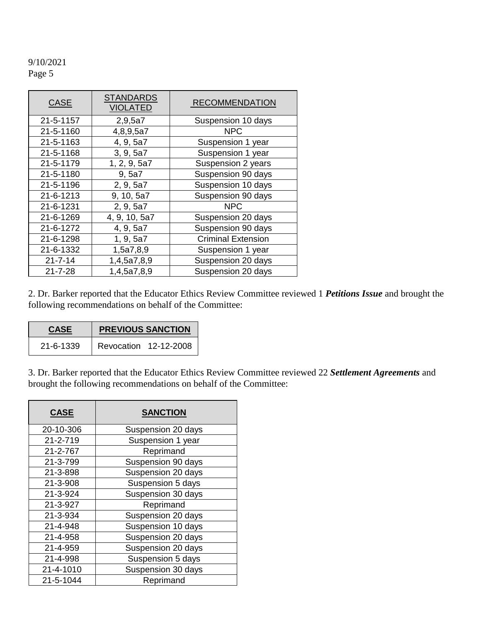| <b>CASE</b>   | <b>STANDARDS</b><br><b>VIOLATED</b> | <b>RECOMMENDATION</b>     |  |  |
|---------------|-------------------------------------|---------------------------|--|--|
| 21-5-1157     | 2,9,5a7                             | Suspension 10 days        |  |  |
| 21-5-1160     | 4,8,9,5a7                           | <b>NPC</b>                |  |  |
| 21-5-1163     | 4, 9, 5a7                           | Suspension 1 year         |  |  |
| 21-5-1168     | 3, 9, 5a7                           | Suspension 1 year         |  |  |
| 21-5-1179     | 1, 2, 9, 5a7                        | Suspension 2 years        |  |  |
| 21-5-1180     | 9, 5a7                              | Suspension 90 days        |  |  |
| 21-5-1196     | 2, 9, 5a7                           | Suspension 10 days        |  |  |
| 21-6-1213     | 9, 10, 5a7                          | Suspension 90 days        |  |  |
| 21-6-1231     | 2, 9, 5a7                           | <b>NPC</b>                |  |  |
| 21-6-1269     | 4, 9, 10, 5a7                       | Suspension 20 days        |  |  |
| 21-6-1272     | 4, 9, 5a7                           | Suspension 90 days        |  |  |
| 21-6-1298     | 1, 9, 5a7                           | <b>Criminal Extension</b> |  |  |
| 21-6-1332     | 1,5a7,8,9                           | Suspension 1 year         |  |  |
| $21 - 7 - 14$ | 1,4,5a7,8,9                         | Suspension 20 days        |  |  |
| $21 - 7 - 28$ | 1,4,5a7,8,9                         | Suspension 20 days        |  |  |

2. Dr. Barker reported that the Educator Ethics Review Committee reviewed 1 *Petitions Issue* and brought the following recommendations on behalf of the Committee:

| <b>CASE</b> | <b>PREVIOUS SANCTION</b> |  |  |  |
|-------------|--------------------------|--|--|--|
| 21-6-1339   | Revocation 12-12-2008    |  |  |  |

3. Dr. Barker reported that the Educator Ethics Review Committee reviewed 22 *Settlement Agreements* and brought the following recommendations on behalf of the Committee:

| <b>CASE</b> | <b>SANCTION</b>    |  |  |  |
|-------------|--------------------|--|--|--|
| 20-10-306   | Suspension 20 days |  |  |  |
| 21-2-719    | Suspension 1 year  |  |  |  |
| 21-2-767    | Reprimand          |  |  |  |
| 21-3-799    | Suspension 90 days |  |  |  |
| 21-3-898    | Suspension 20 days |  |  |  |
| 21-3-908    | Suspension 5 days  |  |  |  |
| 21-3-924    | Suspension 30 days |  |  |  |
| 21-3-927    | Reprimand          |  |  |  |
| 21-3-934    | Suspension 20 days |  |  |  |
| 21-4-948    | Suspension 10 days |  |  |  |
| 21-4-958    | Suspension 20 days |  |  |  |
| 21-4-959    | Suspension 20 days |  |  |  |
| 21-4-998    | Suspension 5 days  |  |  |  |
| 21-4-1010   | Suspension 30 days |  |  |  |
| 21-5-1044   | Reprimand          |  |  |  |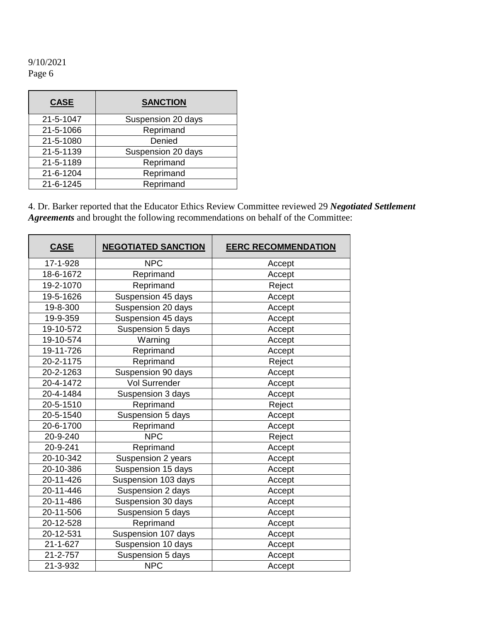| <b>CASE</b> | <b>SANCTION</b>    |  |  |
|-------------|--------------------|--|--|
| 21-5-1047   | Suspension 20 days |  |  |
| 21-5-1066   | Reprimand          |  |  |
| 21-5-1080   | Denied             |  |  |
| 21-5-1139   | Suspension 20 days |  |  |
| 21-5-1189   | Reprimand          |  |  |
| 21-6-1204   | Reprimand          |  |  |
| 21-6-1245   | Reprimand          |  |  |

4. Dr. Barker reported that the Educator Ethics Review Committee reviewed 29 *Negotiated Settlement Agreements* and brought the following recommendations on behalf of the Committee:

| <b>CASE</b>    | <b>NEGOTIATED SANCTION</b> | <b>EERC RECOMMENDATION</b> |  |
|----------------|----------------------------|----------------------------|--|
| 17-1-928       | <b>NPC</b>                 | Accept                     |  |
| 18-6-1672      | Reprimand                  | Accept                     |  |
| 19-2-1070      | Reprimand                  | Reject                     |  |
| 19-5-1626      | Suspension 45 days         | Accept                     |  |
| 19-8-300       | Suspension 20 days         | Accept                     |  |
| 19-9-359       | Suspension 45 days         | Accept                     |  |
| 19-10-572      | Suspension 5 days          | Accept                     |  |
| 19-10-574      | Warning                    | Accept                     |  |
| 19-11-726      | Reprimand                  | Accept                     |  |
| 20-2-1175      | Reprimand                  | Reject                     |  |
| 20-2-1263      | Suspension 90 days         | Accept                     |  |
| 20-4-1472      | Vol Surrender              | Accept                     |  |
| 20-4-1484      | Suspension 3 days          | Accept                     |  |
| 20-5-1510      | Reprimand                  | Reject                     |  |
| 20-5-1540      | Suspension 5 days          | Accept                     |  |
| 20-6-1700      | Reprimand                  | Accept                     |  |
| 20-9-240       | <b>NPC</b>                 | Reject                     |  |
| 20-9-241       | Reprimand                  | Accept                     |  |
| 20-10-342      | Suspension 2 years         | Accept                     |  |
| 20-10-386      | Suspension 15 days         | Accept                     |  |
| 20-11-426      | Suspension 103 days        | Accept                     |  |
| 20-11-446      | Suspension 2 days          | Accept                     |  |
| 20-11-486      | Suspension 30 days         | Accept                     |  |
| 20-11-506      | Suspension 5 days          | Accept                     |  |
| 20-12-528      | Reprimand                  | Accept                     |  |
| 20-12-531      | Suspension 107 days        | Accept                     |  |
| $21 - 1 - 627$ | Suspension 10 days         | Accept                     |  |
| 21-2-757       | Suspension 5 days          | Accept                     |  |
| 21-3-932       | <b>NPC</b>                 | Accept                     |  |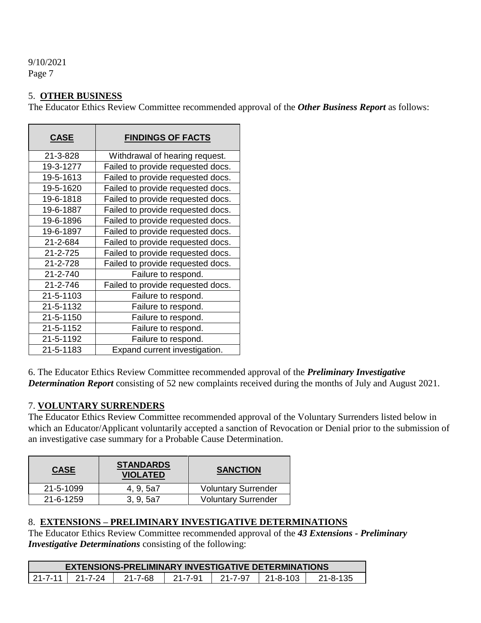### 5. **OTHER BUSINESS**

The Educator Ethics Review Committee recommended approval of the *Other Business Report* as follows:

| <b>CASE</b>    | <b>FINDINGS OF FACTS</b>          |
|----------------|-----------------------------------|
| 21-3-828       | Withdrawal of hearing request.    |
| 19-3-1277      | Failed to provide requested docs. |
| 19-5-1613      | Failed to provide requested docs. |
| 19-5-1620      | Failed to provide requested docs. |
| 19-6-1818      | Failed to provide requested docs. |
| 19-6-1887      | Failed to provide requested docs. |
| 19-6-1896      | Failed to provide requested docs. |
| 19-6-1897      | Failed to provide requested docs. |
| 21-2-684       | Failed to provide requested docs. |
| 21-2-725       | Failed to provide requested docs. |
| 21-2-728       | Failed to provide requested docs. |
| $21 - 2 - 740$ | Failure to respond.               |
| 21-2-746       | Failed to provide requested docs. |
| 21-5-1103      | Failure to respond.               |
| 21-5-1132      | Failure to respond.               |
| 21-5-1150      | Failure to respond.               |
| 21-5-1152      | Failure to respond.               |
| 21-5-1192      | Failure to respond.               |
| 21-5-1183      | Expand current investigation.     |

6. The Educator Ethics Review Committee recommended approval of the *Preliminary Investigative Determination Report* consisting of 52 new complaints received during the months of July and August 2021.

#### 7. **VOLUNTARY SURRENDERS**

The Educator Ethics Review Committee recommended approval of the Voluntary Surrenders listed below in which an Educator/Applicant voluntarily accepted a sanction of Revocation or Denial prior to the submission of an investigative case summary for a Probable Cause Determination.

| <b>CASE</b> | <b>STANDARDS</b><br><b>VIOLATED</b> | <b>SANCTION</b>            |
|-------------|-------------------------------------|----------------------------|
| 21-5-1099   | 4, 9, 5a7                           | <b>Voluntary Surrender</b> |
| 21-6-1259   | 3, 9, 5a7                           | <b>Voluntary Surrender</b> |

### 8. **EXTENSIONS – PRELIMINARY INVESTIGATIVE DETERMINATIONS**

The Educator Ethics Review Committee recommended approval of the *43 Extensions - Preliminary Investigative Determinations* consisting of the following:

| <b>EXTENSIONS-PRELIMINARY INVESTIGATIVE DETERMINATIONS</b>                              |  |  |  |  |  |  |
|-----------------------------------------------------------------------------------------|--|--|--|--|--|--|
| 21-7-11<br>$21 - 7 - 91$<br>$21 - 7 - 97$<br>21-8-103<br>21-7-24<br>21-8-135<br>21-7-68 |  |  |  |  |  |  |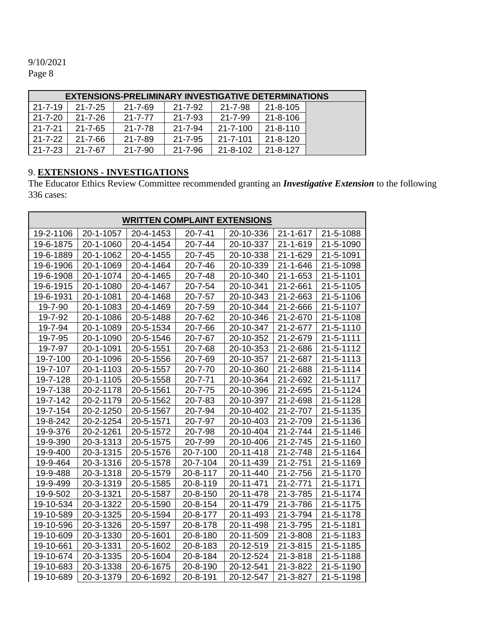| <b>EXTENSIONS-PRELIMINARY INVESTIGATIVE DETERMINATIONS</b> |               |               |               |                |                |  |
|------------------------------------------------------------|---------------|---------------|---------------|----------------|----------------|--|
| $21 - 7 - 19$                                              | $21 - 7 - 25$ | $21 - 7 - 69$ | 21-7-92       | $21 - 7 - 98$  | 21-8-105       |  |
| 21-7-20                                                    | $21 - 7 - 26$ | $21 - 7 - 77$ | $21 - 7 - 93$ | $21 - 7 - 99$  | $21 - 8 - 106$ |  |
| $21 - 7 - 21$                                              | $21 - 7 - 65$ | 21-7-78       | $21 - 7 - 94$ | 21-7-100       | $21 - 8 - 110$ |  |
| $21 - 7 - 22$                                              | $21 - 7 - 66$ | $21 - 7 - 89$ | $21 - 7 - 95$ | $21 - 7 - 101$ | $21 - 8 - 120$ |  |
| $21 - 7 - 23$                                              | 21-7-67       | 21-7-90       | 21-7-96       | 21-8-102       | $21 - 8 - 127$ |  |

#### 9. **EXTENSIONS - INVESTIGATIONS**

The Educator Ethics Review Committee recommended granting an *Investigative Extension* to the following 336 cases:

| <b>WRITTEN COMPLAINT EXTENSIONS</b> |           |           |               |           |                |           |  |
|-------------------------------------|-----------|-----------|---------------|-----------|----------------|-----------|--|
| 19-2-1106                           | 20-1-1057 | 20-4-1453 | $20 - 7 - 41$ | 20-10-336 | $21 - 1 - 617$ | 21-5-1088 |  |
| 19-6-1875                           | 20-1-1060 | 20-4-1454 | $20 - 7 - 44$ | 20-10-337 | 21-1-619       | 21-5-1090 |  |
| 19-6-1889                           | 20-1-1062 | 20-4-1455 | $20 - 7 - 45$ | 20-10-338 | 21-1-629       | 21-5-1091 |  |
| 19-6-1906                           | 20-1-1069 | 20-4-1464 | $20 - 7 - 46$ | 20-10-339 | $21 - 1 - 646$ | 21-5-1098 |  |
| 19-6-1908                           | 20-1-1074 | 20-4-1465 | 20-7-48       | 20-10-340 | $21 - 1 - 653$ | 21-5-1101 |  |
| 19-6-1915                           | 20-1-1080 | 20-4-1467 | 20-7-54       | 20-10-341 | 21-2-661       | 21-5-1105 |  |
| 19-6-1931                           | 20-1-1081 | 20-4-1468 | $20 - 7 - 57$ | 20-10-343 | 21-2-663       | 21-5-1106 |  |
| 19-7-90                             | 20-1-1083 | 20-4-1469 | 20-7-59       | 20-10-344 | 21-2-666       | 21-5-1107 |  |
| 19-7-92                             | 20-1-1086 | 20-5-1488 | 20-7-62       | 20-10-346 | 21-2-670       | 21-5-1108 |  |
| 19-7-94                             | 20-1-1089 | 20-5-1534 | 20-7-66       | 20-10-347 | 21-2-677       | 21-5-1110 |  |
| 19-7-95                             | 20-1-1090 | 20-5-1546 | 20-7-67       | 20-10-352 | 21-2-679       | 21-5-1111 |  |
| 19-7-97                             | 20-1-1091 | 20-5-1551 | 20-7-68       | 20-10-353 | 21-2-686       | 21-5-1112 |  |
| 19-7-100                            | 20-1-1096 | 20-5-1556 | 20-7-69       | 20-10-357 | 21-2-687       | 21-5-1113 |  |
| 19-7-107                            | 20-1-1103 | 20-5-1557 | 20-7-70       | 20-10-360 | 21-2-688       | 21-5-1114 |  |
| 19-7-128                            | 20-1-1105 | 20-5-1558 | $20 - 7 - 71$ | 20-10-364 | 21-2-692       | 21-5-1117 |  |
| 19-7-138                            | 20-2-1178 | 20-5-1561 | 20-7-75       | 20-10-396 | 21-2-695       | 21-5-1124 |  |
| 19-7-142                            | 20-2-1179 | 20-5-1562 | 20-7-83       | 20-10-397 | 21-2-698       | 21-5-1128 |  |
| 19-7-154                            | 20-2-1250 | 20-5-1567 | 20-7-94       | 20-10-402 | 21-2-707       | 21-5-1135 |  |
| 19-8-242                            | 20-2-1254 | 20-5-1571 | 20-7-97       | 20-10-403 | 21-2-709       | 21-5-1136 |  |
| 19-9-376                            | 20-2-1261 | 20-5-1572 | 20-7-98       | 20-10-404 | 21-2-744       | 21-5-1146 |  |
| 19-9-390                            | 20-3-1313 | 20-5-1575 | 20-7-99       | 20-10-406 | $21 - 2 - 745$ | 21-5-1160 |  |
| 19-9-400                            | 20-3-1315 | 20-5-1576 | 20-7-100      | 20-11-418 | 21-2-748       | 21-5-1164 |  |
| 19-9-464                            | 20-3-1316 | 20-5-1578 | 20-7-104      | 20-11-439 | 21-2-751       | 21-5-1169 |  |
| 19-9-488                            | 20-3-1318 | 20-5-1579 | 20-8-117      | 20-11-440 | 21-2-756       | 21-5-1170 |  |
| 19-9-499                            | 20-3-1319 | 20-5-1585 | 20-8-119      | 20-11-471 | 21-2-771       | 21-5-1171 |  |
| 19-9-502                            | 20-3-1321 | 20-5-1587 | 20-8-150      | 20-11-478 | 21-3-785       | 21-5-1174 |  |
| 19-10-534                           | 20-3-1322 | 20-5-1590 | 20-8-154      | 20-11-479 | 21-3-786       | 21-5-1175 |  |
| 19-10-589                           | 20-3-1325 | 20-5-1594 | 20-8-177      | 20-11-493 | 21-3-794       | 21-5-1178 |  |
| 19-10-596                           | 20-3-1326 | 20-5-1597 | 20-8-178      | 20-11-498 | 21-3-795       | 21-5-1181 |  |
| 19-10-609                           | 20-3-1330 | 20-5-1601 | 20-8-180      | 20-11-509 | 21-3-808       | 21-5-1183 |  |
| 19-10-661                           | 20-3-1331 | 20-5-1602 | 20-8-183      | 20-12-519 | $21 - 3 - 815$ | 21-5-1185 |  |
| 19-10-674                           | 20-3-1335 | 20-5-1604 | 20-8-184      | 20-12-524 | $21 - 3 - 818$ | 21-5-1188 |  |
| 19-10-683                           | 20-3-1338 | 20-6-1675 | 20-8-190      | 20-12-541 | 21-3-822       | 21-5-1190 |  |
| 19-10-689                           | 20-3-1379 | 20-6-1692 | 20-8-191      | 20-12-547 | 21-3-827       | 21-5-1198 |  |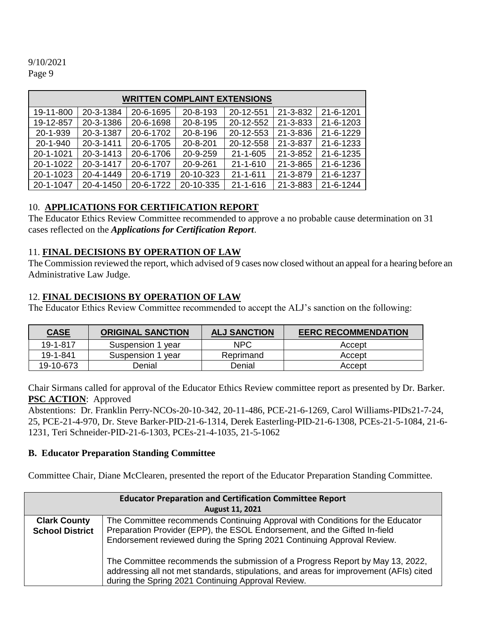| <b>WRITTEN COMPLAINT EXTENSIONS</b> |           |           |           |                |          |           |
|-------------------------------------|-----------|-----------|-----------|----------------|----------|-----------|
| 19-11-800                           | 20-3-1384 | 20-6-1695 | 20-8-193  | 20-12-551      | 21-3-832 | 21-6-1201 |
| 19-12-857                           | 20-3-1386 | 20-6-1698 | 20-8-195  | 20-12-552      | 21-3-833 | 21-6-1203 |
| 20-1-939                            | 20-3-1387 | 20-6-1702 | 20-8-196  | 20-12-553      | 21-3-836 | 21-6-1229 |
| 20-1-940                            | 20-3-1411 | 20-6-1705 | 20-8-201  | 20-12-558      | 21-3-837 | 21-6-1233 |
| 20-1-1021                           | 20-3-1413 | 20-6-1706 | 20-9-259  | $21 - 1 - 605$ | 21-3-852 | 21-6-1235 |
| 20-1-1022                           | 20-3-1417 | 20-6-1707 | 20-9-261  | $21 - 1 - 610$ | 21-3-865 | 21-6-1236 |
| 20-1-1023                           | 20-4-1449 | 20-6-1719 | 20-10-323 | $21 - 1 - 611$ | 21-3-879 | 21-6-1237 |
| 20-1-1047                           | 20-4-1450 | 20-6-1722 | 20-10-335 | $21 - 1 - 616$ | 21-3-883 | 21-6-1244 |

## 10. **APPLICATIONS FOR CERTIFICATION REPORT**

The Educator Ethics Review Committee recommended to approve a no probable cause determination on 31 cases reflected on the *Applications for Certification Report*.

### 11. **FINAL DECISIONS BY OPERATION OF LAW**

The Commission reviewed the report, which advised of 9 cases now closed without an appeal for a hearing before an Administrative Law Judge.

## 12. **FINAL DECISIONS BY OPERATION OF LAW**

The Educator Ethics Review Committee recommended to accept the ALJ's sanction on the following:

| <b>CASE</b> | <b>ORIGINAL SANCTION</b> | <b>ALJ SANCTION</b> | <b>EERC RECOMMENDATION</b> |
|-------------|--------------------------|---------------------|----------------------------|
| 19-1-817    | Suspension 1 year        | <b>NPC</b>          | Accept                     |
| 19-1-841    | Suspension 1 year        | Reprimand           | Accept                     |
| 19-10-673   | Denial                   | Denial              | Accept                     |

Chair Sirmans called for approval of the Educator Ethics Review committee report as presented by Dr. Barker. **PSC ACTION**: Approved

Abstentions: Dr. Franklin Perry-NCOs-20-10-342, 20-11-486, PCE-21-6-1269, Carol Williams-PIDs21-7-24, 25, PCE-21-4-970, Dr. Steve Barker-PID-21-6-1314, Derek Easterling-PID-21-6-1308, PCEs-21-5-1084, 21-6- 1231, Teri Schneider-PID-21-6-1303, PCEs-21-4-1035, 21-5-1062

### **B. Educator Preparation Standing Committee**

Committee Chair, Diane McClearen, presented the report of the Educator Preparation Standing Committee.

|                                               | <b>Educator Preparation and Certification Committee Report</b><br><b>August 11, 2021</b>                                                                                                                                                                                                                                                                                                                                                                               |
|-----------------------------------------------|------------------------------------------------------------------------------------------------------------------------------------------------------------------------------------------------------------------------------------------------------------------------------------------------------------------------------------------------------------------------------------------------------------------------------------------------------------------------|
| <b>Clark County</b><br><b>School District</b> | The Committee recommends Continuing Approval with Conditions for the Educator<br>Preparation Provider (EPP), the ESOL Endorsement, and the Gifted In-field<br>Endorsement reviewed during the Spring 2021 Continuing Approval Review.<br>The Committee recommends the submission of a Progress Report by May 13, 2022,<br>addressing all not met standards, stipulations, and areas for improvement (AFIs) cited<br>during the Spring 2021 Continuing Approval Review. |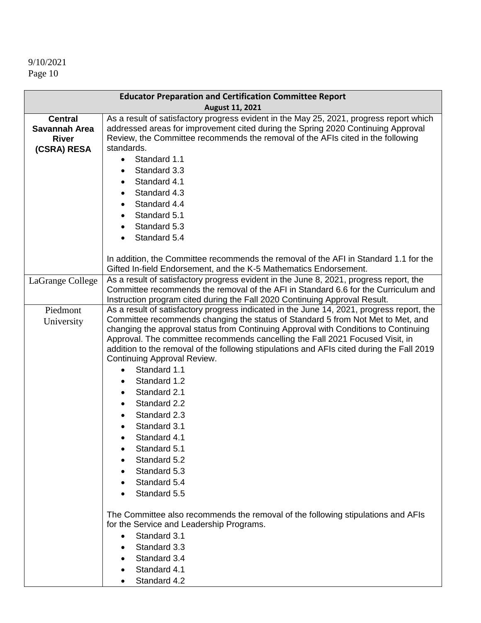| <b>Educator Preparation and Certification Committee Report</b> |                                                                                                                                                                                                                                                                                                                                                                                                                                                                                                                                                                                                                                                                         |  |
|----------------------------------------------------------------|-------------------------------------------------------------------------------------------------------------------------------------------------------------------------------------------------------------------------------------------------------------------------------------------------------------------------------------------------------------------------------------------------------------------------------------------------------------------------------------------------------------------------------------------------------------------------------------------------------------------------------------------------------------------------|--|
|                                                                | August 11, 2021                                                                                                                                                                                                                                                                                                                                                                                                                                                                                                                                                                                                                                                         |  |
| <b>Central</b><br>Savannah Area<br><b>River</b><br>(CSRA) RESA | As a result of satisfactory progress evident in the May 25, 2021, progress report which<br>addressed areas for improvement cited during the Spring 2020 Continuing Approval<br>Review, the Committee recommends the removal of the AFIs cited in the following<br>standards.<br>Standard 1.1<br>$\bullet$<br>Standard 3.3<br>Standard 4.1<br>Standard 4.3<br>Standard 4.4<br>Standard 5.1<br>Standard 5.3<br>Standard 5.4                                                                                                                                                                                                                                               |  |
|                                                                | In addition, the Committee recommends the removal of the AFI in Standard 1.1 for the<br>Gifted In-field Endorsement, and the K-5 Mathematics Endorsement.                                                                                                                                                                                                                                                                                                                                                                                                                                                                                                               |  |
| LaGrange College                                               | As a result of satisfactory progress evident in the June 8, 2021, progress report, the<br>Committee recommends the removal of the AFI in Standard 6.6 for the Curriculum and<br>Instruction program cited during the Fall 2020 Continuing Approval Result.                                                                                                                                                                                                                                                                                                                                                                                                              |  |
| Piedmont                                                       | As a result of satisfactory progress indicated in the June 14, 2021, progress report, the                                                                                                                                                                                                                                                                                                                                                                                                                                                                                                                                                                               |  |
| University                                                     | Committee recommends changing the status of Standard 5 from Not Met to Met, and<br>changing the approval status from Continuing Approval with Conditions to Continuing<br>Approval. The committee recommends cancelling the Fall 2021 Focused Visit, in<br>addition to the removal of the following stipulations and AFIs cited during the Fall 2019<br>Continuing Approval Review.<br>Standard 1.1<br>Standard 1.2<br>Standard 2.1<br>Standard 2.2<br>Standard 2.3<br>Standard 3.1<br>Standard 4.1<br>Standard 5.1<br>Standard 5.2<br>Standard 5.3<br>Standard 5.4<br>Standard 5.5<br>The Committee also recommends the removal of the following stipulations and AFIs |  |
|                                                                | for the Service and Leadership Programs.<br>Standard 3.1                                                                                                                                                                                                                                                                                                                                                                                                                                                                                                                                                                                                                |  |
|                                                                | Standard 3.3                                                                                                                                                                                                                                                                                                                                                                                                                                                                                                                                                                                                                                                            |  |
|                                                                | Standard 3.4                                                                                                                                                                                                                                                                                                                                                                                                                                                                                                                                                                                                                                                            |  |
|                                                                | Standard 4.1                                                                                                                                                                                                                                                                                                                                                                                                                                                                                                                                                                                                                                                            |  |
|                                                                | Standard 4.2                                                                                                                                                                                                                                                                                                                                                                                                                                                                                                                                                                                                                                                            |  |